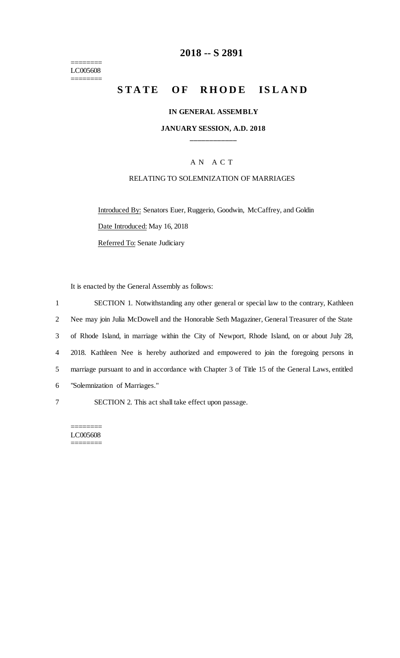======== LC005608 ========

## **2018 -- S 2891**

# STATE OF RHODE ISLAND

#### **IN GENERAL ASSEMBLY**

#### **JANUARY SESSION, A.D. 2018 \_\_\_\_\_\_\_\_\_\_\_\_**

### A N A C T

#### RELATING TO SOLEMNIZATION OF MARRIAGES

Introduced By: Senators Euer, Ruggerio, Goodwin, McCaffrey, and Goldin Date Introduced: May 16, 2018

Referred To: Senate Judiciary

It is enacted by the General Assembly as follows:

|                | SECTION 1. Notwithstanding any other general or special law to the contrary, Kathleen           |
|----------------|-------------------------------------------------------------------------------------------------|
| $\overline{2}$ | Nee may join Julia McDowell and the Honorable Seth Magaziner, General Treasurer of the State    |
| 3              | of Rhode Island, in marriage within the City of Newport, Rhode Island, on or about July 28,     |
| 4              | 2018. Kathleen Nee is hereby authorized and empowered to join the foregoing persons in          |
| 5              | marriage pursuant to and in accordance with Chapter 3 of Title 15 of the General Laws, entitled |
| 6              | "Solemnization of Marriages."                                                                   |
|                |                                                                                                 |

7 SECTION 2. This act shall take effect upon passage.

======== LC005608 ========